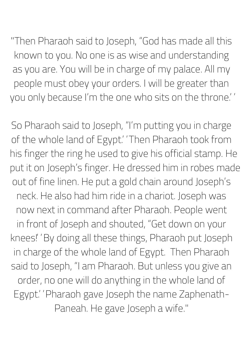"Then Pharaoh said to Joseph, "God has made all this known to you. No one is as wise and understanding as you are. You will be in charge of my palace. All my people must obey your orders. I will be greater than you only because I' m the one who sits on the throne."

So Pharaoh said to Joseph, "I' m putting you in charge of the whole land of Egypt.' 'Then Pharaoh took from his finger the ring he used to give his official stamp. He put it on Joseph' s finger. He dressed him in robes made out of fine linen. He put a gold chain around Joseph' s neck. He also had him ride in a chariot. Joseph was now next in command after Pharaoh. People went in front of Joseph and shouted, "Get down on your knees!" By doing all these things, Pharaoh put Joseph in charge of the whole land of Egypt. Then Pharaoh said to Joseph, "I am Pharaoh. But unless you give an order, no one will do anything in the whole land of Egypt." Pharaoh gave Joseph the name Zaphenath-Paneah. He gave Joseph a wife."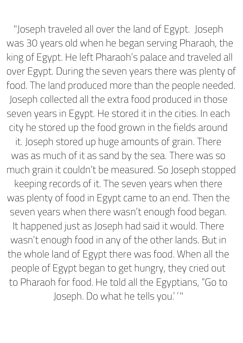"Joseph traveled all over the land of Egypt. Joseph was 30 years old when he began serving Pharaoh, the king of Egypt. He left Pharaoh' s palace and traveled all over Egypt. During the seven years there was plenty of food. The land produced more than the people needed. Joseph collected all the extra food produced in those seven years in Egypt. He stored it in the cities. In each city he stored up the food grown in the fields around it. Joseph stored up huge amounts of grain. There was as much of it as sand by the sea. There was so much grain it couldn 't be measured. So Joseph stopped keeping records of it. The seven years when there was plenty of food in Egypt came to an end. Then the seven years when there wasn 't enough food began. It happened just as Joseph had said it would. There wasn 't enough food in any of the other lands. But in the whole land of Egypt there was food. When all the people of Egypt began to get hungry, they cried out to Pharaoh for food. He told all the Egyptians, "Go to Joseph. Do what he tells you." "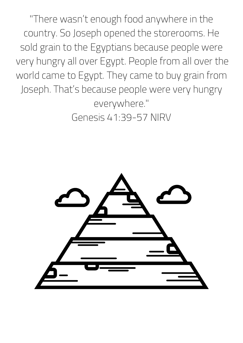"There wasn 't enough food anywhere in the country. So Joseph opened the storerooms. He sold grain to the Egyptians because people were very hungry all over Egypt. People from all over the world came to Egypt. They came to buy grain from Joseph. That' s because people were very hungry everywhere."

Genesis 41:39-57 NIRV

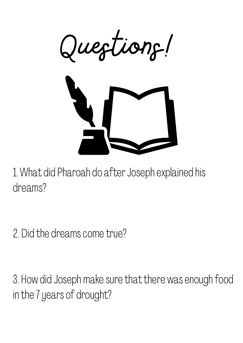

1. What did Pharoah do after Joseph explained his dreams?

2. Did the dreams come true?

3. How did Joseph make sure that there was enough food in the 7 years of drought?